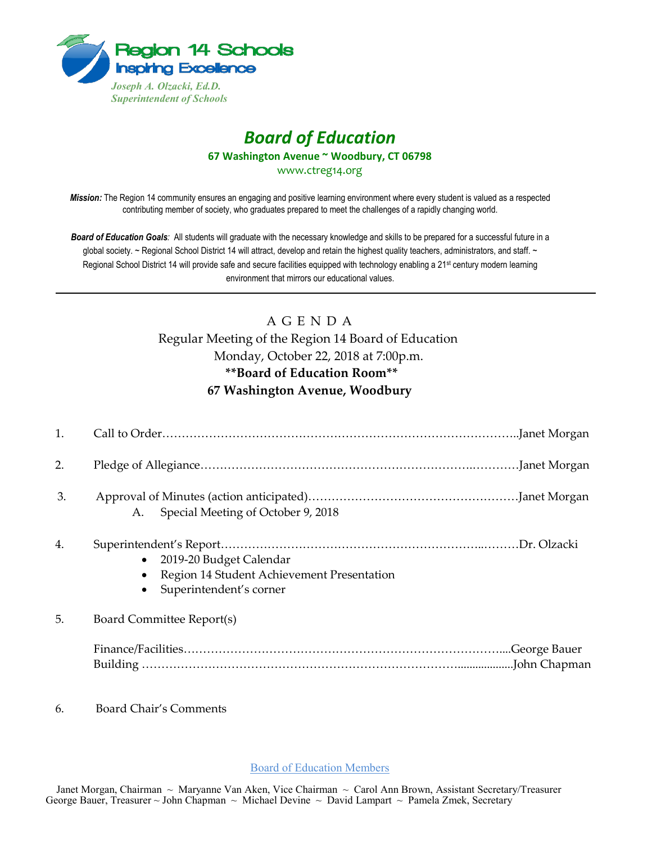

## *Board of Education* **67 Washington Avenue ~ Woodbury, CT 06798**

www.ctreg14.org

*Mission:* The Region 14 community ensures an engaging and positive learning environment where every student is valued as a respected contributing member of society, who graduates prepared to meet the challenges of a rapidly changing world.

*Board of Education Goals:* All students will graduate with the necessary knowledge and skills to be prepared for a successful future in a global society. ~ Regional School District 14 will attract, develop and retain the highest quality teachers, administrators, and staff. ~ Regional School District 14 will provide safe and secure facilities equipped with technology enabling a 21<sup>st</sup> century modern learning environment that mirrors our educational values.

## A G E N D A

## Regular Meeting of the Region 14 Board of Education Monday, October 22, 2018 at 7:00p.m. **\*\*Board of Education Room\*\* 67 Washington Avenue, Woodbury**

| 1. |                                                                                                               |  |
|----|---------------------------------------------------------------------------------------------------------------|--|
| 2. |                                                                                                               |  |
| 3. | Special Meeting of October 9, 2018<br>A.                                                                      |  |
| 4. | 2019-20 Budget Calendar<br>$\bullet$<br>Region 14 Student Achievement Presentation<br>Superintendent's corner |  |
| 5. | Board Committee Report(s)                                                                                     |  |
|    |                                                                                                               |  |

6. Board Chair's Comments

Board of Education Members